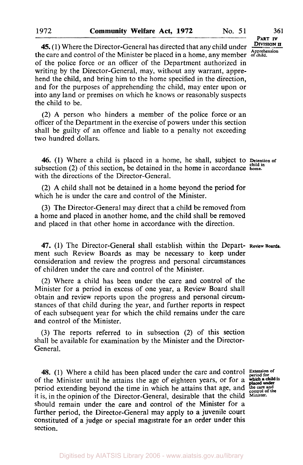**45.** (1) Where the Director-General has directed that any child under the care and control of the Minister be placed in a home, any member **of child.**  of the police force or an officer of the Department authorized in writing by the Director-General, may, without any warrant, apprehend the child, and bring him to the home specified in the direction, and for the purposes of apprehending the child, may enter upon or into any land or premises on which he knows or reasonably suspects the child to be.

(2) **A** person who hinders a member of the police force or an officer of the Department in the exercise of powers under this section shall be guilty of an offence and liable to a penalty not exceeding two hundred dollars.

*46.* (1) Where a child is placed in a home, he shall, subject to subsection (2) of this section, be detained in the home in accordance with the directions of the Director-General. **Detention of child in home.** 

**(2) A** child shall not be detained in a home beyond the period for which he is under the care and control of the Minister.

**(3)** The Director-General may direct that a child be removed from a home and placed in another home, and the child shall be removed and placed in that other home in accordance with the direction.

**47.** (1) The Director-General shall establish within the Depart- **Review Boards.**  ment such Review Boards as may be necessary to keep under consideration and review the progress and personal circumstances of children under the care and control of the Minister.

(2) Where a child has been under the care and control of the Minister for a period in excess of one year, a Review Board shall obtain and review reports upon the progress and personal circumstances of that child during the year, and further reports in respect of each subsequent year for which the child remains under the care and control of the Minister.

**(3)** The reports referred to in subsection (2) of this section shall be available for examination by the Minister and the Director-General.

48. (1) Where a child has been placed under the care and control **Extension** of of the Minister until he attains the age of eighteen years, or for a period extending beyond the time in which he attains that age, and **the care and control of the**  it is, in the opinion of the Director-General, desirable that the child **Minister.**  should remain under the care and control of the Minister for a further period, the Director-General may apply to **a** juvenile court constituted of a judge **or** special magistrate for **an** order under this section.

**DIVISION II Apprehension**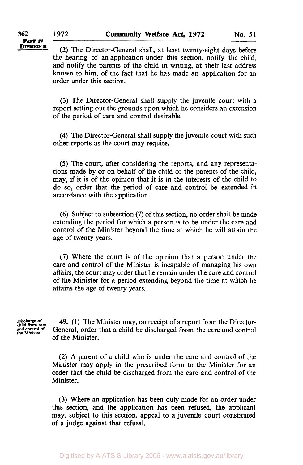**DIVISION**  $\overline{\mathbf{n}}$  (2) The Director-General shall, at least twenty-eight days before the hearing of an application under this section, notify the child. and notify the parents of the child in writing, at their last address known to him, of the fact that he has made an application for an order under this section.

> (3) The Director-General shall supply the juvenile court with a report setting out the grounds upon which he considers an extension of the period of care and control desirable.

> **(4)** The Director-General shall supply the juvenile court with such other reports as the court may require.

> *(5)* The court, after considering the reports, and any representations made by or on behalf of the child or the parents of the child, may, if it is of the opinion that it is in the interests of the child to do so, order that the period of care and control be extended in accordance with the application.

> (6) Subject to subsection (7) of this section, no order shall be made extending the period for which a person is to be under the care and control of the Minister beyond the time at which he will attain the age of twenty years.

> (7) Where the court is of the opinion that a person under the care and control of the Minister is incapable of managing his own affairs, the court may order that he remain under the care and control of the Minister for a period extending beyond the time at which he attains the age of twenty years.

**Discharge of 49.** (1) The Minister may, on receipt of a report from the Director-<br>child from care **Child from care** and control and control of **General**, order that a child be discharged from the care and control of the Minister.

> (2) A parent of a child who is under the care and control of the Minister may apply in the prescribed form to the Minister for an order that the child be discharged from the care and control of the Minister.

> (3) Where an application has been duly made for an order under this section, and the application has been refused, the applicant may, subject to this section, appeal to a juvenile court constituted of a judge against that refusal.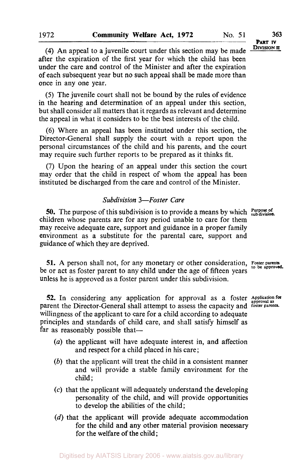**DIVISION II PART** *N* 

**(4)** An appeal to a juvenile court under this section may be made after the expiration of the first year for which the child has been under the care and control of the Minister and after the expiration of each subsequent year but no such appeal shall be made more than once in any one year.

(5) The juvenile court shall not be bound by the rules of evidence in the hearing and determination of an appeal under this section, but shall consider all matters that it regards as relevant and determine the appeal in what it considers to be the best interests of the child.

(6) Where an appeal has been instituted under this section, the Director-General shall supply the court with a report upon the personal circumstances of the child and his parents, and the court may require such further reports to be prepared as it thinks fit.

(7) Upon the hearing of an appeal under this section the court may order that the child in respect of whom the appeal has been instituted be discharged from the care and control of the Minister.

#### *Subdivision 3-Foster Care*

children whose parents are for any period unable to care for them may receive adequate care, support and guidance in a proper family environment as a substitute for the parental care, support and guidance of which they are deprived. **50.** The purpose of this subdivision is to provide a means by which **Purpose of** subdivision.

**51.** A person shall not, for any monetary or other consideration, Foster parents to be approved. be or act as foster parent to any child under the age of fifteen years unless he is approved as a foster parent under this subdivision.

**52.** In considering any application for approval as a foster *Application* for parent the Director-General shall attempt to assess the capacity and **foster parents**. willingness of the applicant to care for a child according to adequate principles and standards of child care, and shall satisfy himself as far as reasonably possible that-

- *(a)* the applicant will have adequate interest in, and affection and respect for a child placed in his care;
- *(b)* that the applicant will treat the child in a consistent manner and will provide a stable family environment for the child;
- **(c)** that the applicant will adequately understand the developing personality of the child, and will provide opportunities to develop the abilities of the child;
- (d) that the applicant will provide adequate accommodation for the child and any other material provision necessary for the welfare of the child;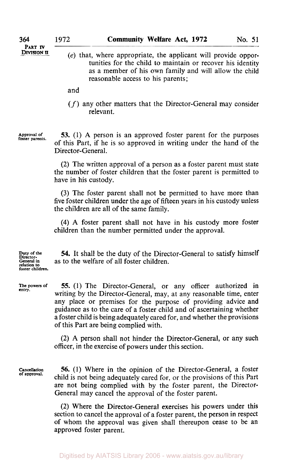- *(e)* that, where appropriate, the applicant will provide opportunities for the child to maintain or recover his identity as a member of his own family and will allow the child reasonable access to his parents;
- and
- *(f)* any other matters that the Director-General may consider relevant.

**Approval of foster parents.** 

**53.** (1) **A** person is an approved foster parent for the purposes of this Part, if he is so approved in writing under the hand of the Director-General.

(2) The written approval of a person as a foster parent must state the number of foster children that the foster parent is permitted to have in his custody.

**(3)** The foster parent shall not be permitted to have more than five foster children under the age of fifteen years in his custody unless the children are all of the same family.

**(4) A** foster parent shall not have in his custody more foster children than the number permitted under the approval.

**Duty** *of* **the Director-General in relation to foster children.** 

*54.* It shall be the duty of the Director-General to satisfy himself as to the welfare **of** all foster children.

**The powers** *of*  **entry.** 

*55.* (1) The Director-General, or any officer authorized in writing by the Director-General, may, at any reasonable time, enter any place or premises for the purpose of providing advice and guidance as to the care **of** a foster child and of ascertaining whether a foster child is being adequately cared for, and whether the provisions of this Part are being complied with.

**(2) A** person shall not hinder the Director-General, or any such officer, in the exercise of powers under this section.

**Cancellation**  *of* **approval.** 

*56.* (1) Where in the opinion **of** the Director-General, a foster child is not being adequately cared for, or the provisions of this Part are not being complied with by the foster parent, the Director-General may cancel the approval of the foster parent.

(2) Where the Director-General exercises his powers under this section to cancel the approval of a foster parent, the person in respect of whom the approval was given shall thereupon cease to be an approved foster parent.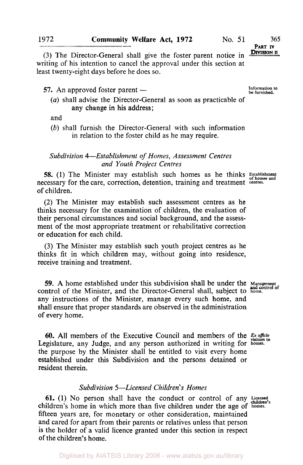**PART IV**<br>**DIVISION II** 

(3) The Director-General shall give the foster parent notice in writing of his intention to cancel the approval under this section at least twenty-eight days before he does so.

# **Information to 1.57.** An approved foster parent -- *be furnished.* **be furnished.**

*(a)* shall advise the Director-General as soon as practicable of any change in his address;

and

*(b)* shall furnish the Director-General with such information in relation to the foster child as he may require.

### *Subdivision &-Establishment of Homes, Assessment Centres and Youth Project Centres*

*58.* **(1)** The Minister may establish such homes as he thinks Establishment of **homes and**  necessary for the care, correction, detention, training and treatment **centres.**  of children.

**(2)** The Minister may establish such assessment centres as he thinks necessary for the examination of children, the evaluation of their personal circumstances and social background, and the assessment of the most appropriate treatment or rehabilitative correction or education for each child.

(3) The Minister may establish such youth project centres as he thinks fit in which children may, without going into residence, receive training and treatment.

*59.* **A** home established under this subdivision shall be under the **Management**  control of the Minister, and the Director-General shall, subject to home. any instructions of the Minister, manage every such home, and shall ensure that proper standards are observed in the administration of every home.

**60.** All members of the Executive Council and members of the *Ex officio* Legislature, any Judge, and any person authorized in writing for **homes.**  the purpose by the Minister shall be entitled to visit every home established under this Subdivision and the persons detained or resident therein.

## *Subdivision 5-Licensed Children's Homes*

**61.** (1) No person shall have the conduct or control of any **Licensed**  children's home in which more than five children under the age of homes. fifteen years are, for monetary or other consideration, maintained and cared for apart from their parents or relatives unless that person is the holder of a valid licence granted under this section in respect of the children's home.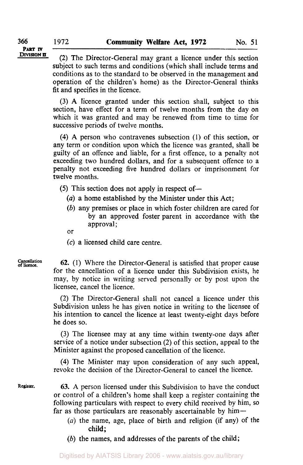**PART IV**<br>DIVISION **II** 

**(2) The Director-General may grant a licence under this section** subject to such terms and conditions (which shall include terms and conditions as to the standard to be observed in the management and operation of the children's home) as the Director-General thinks fit and specifies in the licence.

**(3) A** licence granted under this section shall, subject to this section, have effect for a term of twelve months from the day on which it was granted and may be renewed from time to time for successive periods of twelve months.

**(4)** A person who contravenes subsection (1) of this section, or any term or condition upon which the licence was granted, shall be guilty of an offence and liable, for **a** first offence, to a penalty not exceeding two hundred dollars, and for a subsequent offence to a penalty not exceeding five hundred dollars or imprisonment for twelve months.

(5) This section does not apply in respect of-

- *(a)* a home established by the Minister under this Act;
- *(b)* any premises or place in which foster children are cared for by an approved foster parent in accordance with the approval ;
- or
- **(c)** a licensed child care centre.

**Cancellation** 62. (1) Where the Director-General is satisfied that proper cause for the cancellation of a licence under this Subdivision exists, he may, by notice in writing served personally or by post upon the licensee, cancel the licence.

> (2) The Director-General shall not cancel a licence under this Subdivision unless he has given notice in writing to the licensee **of**  his intention to cancel the licence at least twenty-eight days before he does so.

> **(3)** The licensee may at any time within twenty-one days after service of a notice under subsection (2) of this section, appeal to the Minister against the proposed cancellation of the licence.

> **(4)** The Minister may upon consideration of any such appeal, revoke the decision of the Director-General to cancel the licence.

**Register. 63. A** person licensed under this Subdivision to have the conduct or control of a children's home shall keep a register containing the following particulars with respect to every child received by him, **SO**  far as those particulars are reasonably ascertainable by him-

- *(a)* the name, age, place of birth and religion (if any) of the child;
- *(b)* the names, and addresses of the parents of the child;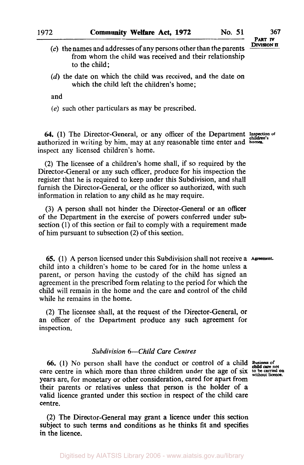PART **IV**<br>DIVISION II

- (c) the names and addresses of any persons other than the parents from whom the child was received and their relationship to the child;
- *(d)* the date on which the child was received, and the date on which the child left the children's home;

and

*(e)* such other particulars as may be prescribed.

**64.** (1) The Director-General, or any officer of the Department Inspection of authorized in writing by him, may at any reasonable time enter and **homes**  inspect any licensed children's home.

(2) The licensee of a children's home shall, if so required by the Director-General or any such officer, produce for his inspection the register that he is required to keep under this Subdivision, and shall furnish the Director-General, or the officer so authorized, with such information in relation to any child as he may require.

**(3) A** person shall not hinder the Director-General or an officer of the Department in the exercise of powers conferred under subsection (1) of this section or fail to comply with a requirement made of him pursuant to subsection (2) of this section.

*65.* (1) **A** person licensed under this Subdivision shall not receive a **Agreement.**  child into a children's home to be cared for in the home unless a parent, or person having the custody of the child has signed an agreement in the prescribed form relating to the period for which the child will remain in the home and the care and control of the child while he remains in the home.

(2) The licensee shall, at the request of the Director-General, or an officer of the Department produce any such agreement for inspection.

## *Subdivision 6-Child Care Centres*

66. (1) No person shall have the conduct or control of a child Business of child care not oncare centre in which more than three children under the age of six to be carried on years are, for monetary or other consideration, cared for apart from their parents or relatives unless that person is the holder of a valid licence granted under this section in respect of the child care centre.

**(2)** The Director-General may grant a licence under this **section**  subject to such terms and conditions as he thinks fit and specifies in the licence.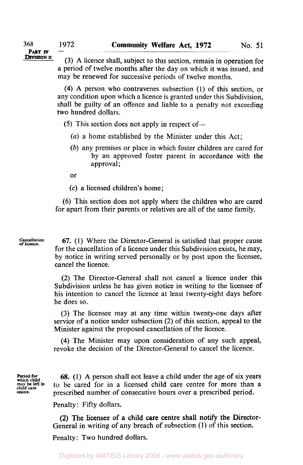**368 DIVISION II** PART **IV** 

**(3) A** licence shall, subject to this section, remain in operation for a period **of** twelve months after the day on which it was issued, and may be renewed for successive periods of twelve months.

**(4) A** person who contravenes subsection **(1)** of this section, or any condition upon which a licence is granted under this Subdivision, shall be guilty of an offence and liable to a penalty not exceeding two hundred dollars.

*(5)* This section does not apply in respect of-

- *(a)* a home established by the Minister under this Act;
- *(b)* any premises or place in which foster children are cared for by an approved foster parent in accordance with the approval;

or

**(c)** a licensed children's home;

**(6)** This section does not apply where the children who are cared for apart from their parents or relatives are all of the same family.

**Cancellation of licence.** 

**67.** (1) Where the Director-General is satisfied that proper cause for the cancellation of a licence under this Subdivision exists, he may, by notice in writing served personally or by post upon the licensee, cancel the licence.

(2) The Director-General shall not cancel a licence under this Subdivision unless he has given notice in writing to the licensee of his intention to cancel the licence at least twenty-eight days before he does so.

**(3)** The licensee may at any time within twenty-one days after service of a notice under subsection (2) of this section, appeal to the Minister against the proposed cancellation of the licence.

**(4)** The Minister may upon consideration of any such appeal, revoke the decision of the Director-General to cancel the licence.

**Period for which child may be left** *in*  **child** care **centre.** 

**68.** (1) **A** person shall not leave a child under the age of six years to be cared for in a licensed child care centre for more than a prescribed number of consecutive hours over a prescribed period.

Penalty: Fifty dollars.

General in writing of any breach of subsection (1) of this section. (2) The licensee of a child care centre shall notify the Director-

Penalty: Two hundred dollars.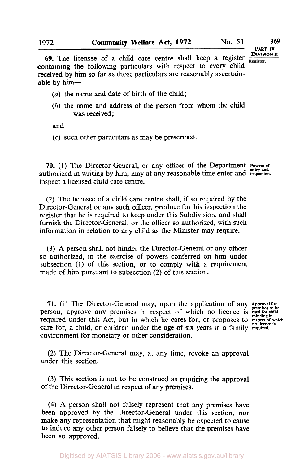**PART IV** 

**DIVISION II**  Register.

*69.* The licensee of a child care centre shall keep a register containing the following particulars with respect to every child received by him *so* far as those particulars are reasonably ascertainable by him-

- *(a)* the name and date of birth of the child;
- *(b)* the name and address of the person from whom the child was received ;

and

**(c)** such other particulars as may be prescribed.

**70.** (1) The Director-General, or any officer of the Department Powers of authorized in writing by him, may at any reasonable time enter and **inrpection.**  inspect a licensed child care centre.

**(2)** The licensee of a child care centre shall, if so required by the Director-General or any such officer, produce for his inspection the register that he is required to keep under this Subdivision, and shall furnish the Director-General, or the officer so authorized, with such information in relation to any child as the Minister may require.

**(3) A** person shall not hinder the Director-General or any officer so authorized, in the exercise of powers conferred on him under subsection (1) of this section, or to comply with a requirement made of him pursuant to subsection (2) of this section.

**71.** (1) The Director-General may, upon the application of any **Approval for** person, approve any premises in respect of which no licence is **used for child minding in**  required under this Act, but in which he cares for, or proposes to respect of which care for, a child, or children under the age of six years in a family required. environment for monetary or other consideration.

**(2)** The Director-General may, at any time, revoke an approval under this section.

**(3)** This section is not to be construed as requiring the approval of the Director-General in respect of any premises.

**(4) A** person shall not falsely represent that any premises have been approved by the Director-General under this section, nor make any representation that might reasonably be expected to cause to induce any other person falsely to believe that the premises have been so approved.